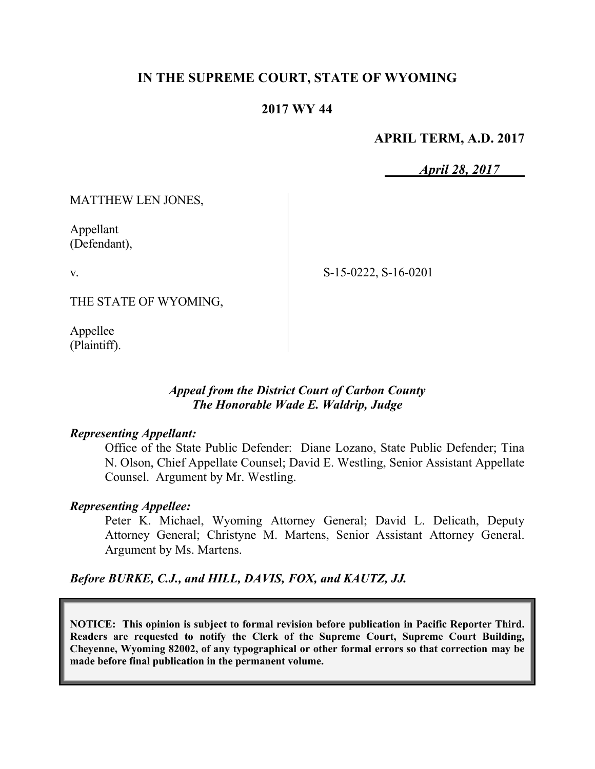## **IN THE SUPREME COURT, STATE OF WYOMING**

## **2017 WY 44**

### **APRIL TERM, A.D. 2017**

*April 28, 2017*

MATTHEW LEN JONES,

Appellant (Defendant),

v.

S-15-0222, S-16-0201

THE STATE OF WYOMING,

Appellee (Plaintiff).

### *Appeal from the District Court of Carbon County The Honorable Wade E. Waldrip, Judge*

#### *Representing Appellant:*

Office of the State Public Defender: Diane Lozano, State Public Defender; Tina N. Olson, Chief Appellate Counsel; David E. Westling, Senior Assistant Appellate Counsel. Argument by Mr. Westling.

#### *Representing Appellee:*

Peter K. Michael, Wyoming Attorney General; David L. Delicath, Deputy Attorney General; Christyne M. Martens, Senior Assistant Attorney General. Argument by Ms. Martens.

*Before BURKE, C.J., and HILL, DAVIS, FOX, and KAUTZ, JJ.*

**NOTICE: This opinion is subject to formal revision before publication in Pacific Reporter Third. Readers are requested to notify the Clerk of the Supreme Court, Supreme Court Building, Cheyenne, Wyoming 82002, of any typographical or other formal errors so that correction may be made before final publication in the permanent volume.**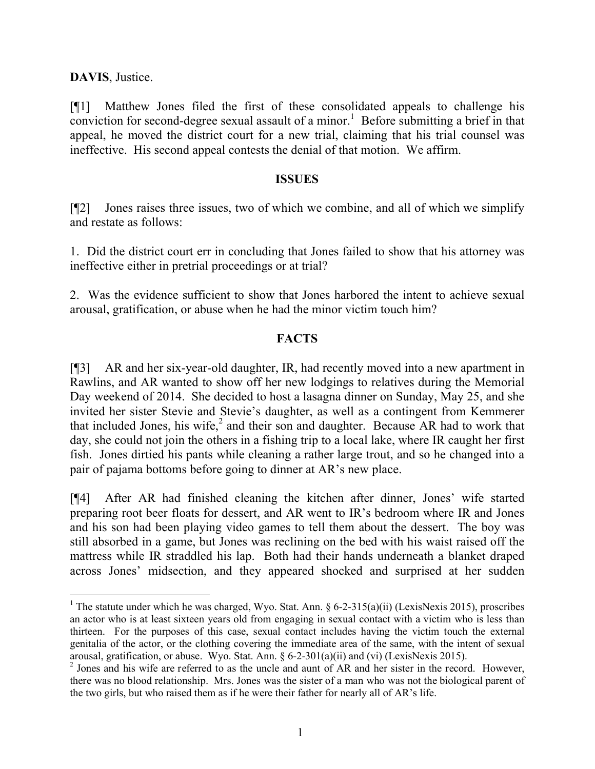**DAVIS**, Justice.

l

[¶1] Matthew Jones filed the first of these consolidated appeals to challenge his conviction for second-degree sexual assault of a minor.<sup>1</sup> Before submitting a brief in that appeal, he moved the district court for a new trial, claiming that his trial counsel was ineffective. His second appeal contests the denial of that motion. We affirm.

#### **ISSUES**

[¶2] Jones raises three issues, two of which we combine, and all of which we simplify and restate as follows:

1. Did the district court err in concluding that Jones failed to show that his attorney was ineffective either in pretrial proceedings or at trial?

2. Was the evidence sufficient to show that Jones harbored the intent to achieve sexual arousal, gratification, or abuse when he had the minor victim touch him?

## **FACTS**

[¶3] AR and her six-year-old daughter, IR, had recently moved into a new apartment in Rawlins, and AR wanted to show off her new lodgings to relatives during the Memorial Day weekend of 2014. She decided to host a lasagna dinner on Sunday, May 25, and she invited her sister Stevie and Stevie's daughter, as well as a contingent from Kemmerer that included Jones, his wife, $^2$  and their son and daughter. Because AR had to work that day, she could not join the others in a fishing trip to a local lake, where IR caught her first fish. Jones dirtied his pants while cleaning a rather large trout, and so he changed into a pair of pajama bottoms before going to dinner at AR's new place.

[¶4] After AR had finished cleaning the kitchen after dinner, Jones' wife started preparing root beer floats for dessert, and AR went to IR's bedroom where IR and Jones and his son had been playing video games to tell them about the dessert. The boy was still absorbed in a game, but Jones was reclining on the bed with his waist raised off the mattress while IR straddled his lap. Both had their hands underneath a blanket draped across Jones' midsection, and they appeared shocked and surprised at her sudden

<sup>&</sup>lt;sup>1</sup> The statute under which he was charged, Wyo. Stat. Ann.  $\frac{6}{5}$  6-2-315(a)(ii) (LexisNexis 2015), proscribes an actor who is at least sixteen years old from engaging in sexual contact with a victim who is less than thirteen. For the purposes of this case, sexual contact includes having the victim touch the external genitalia of the actor, or the clothing covering the immediate area of the same, with the intent of sexual arousal, gratification, or abuse. Wyo. Stat. Ann. § 6-2-301(a)(ii) and (vi) (LexisNexis 2015).

<sup>&</sup>lt;sup>2</sup> Jones and his wife are referred to as the uncle and aunt of AR and her sister in the record. However, there was no blood relationship. Mrs. Jones was the sister of a man who was not the biological parent of the two girls, but who raised them as if he were their father for nearly all of AR's life.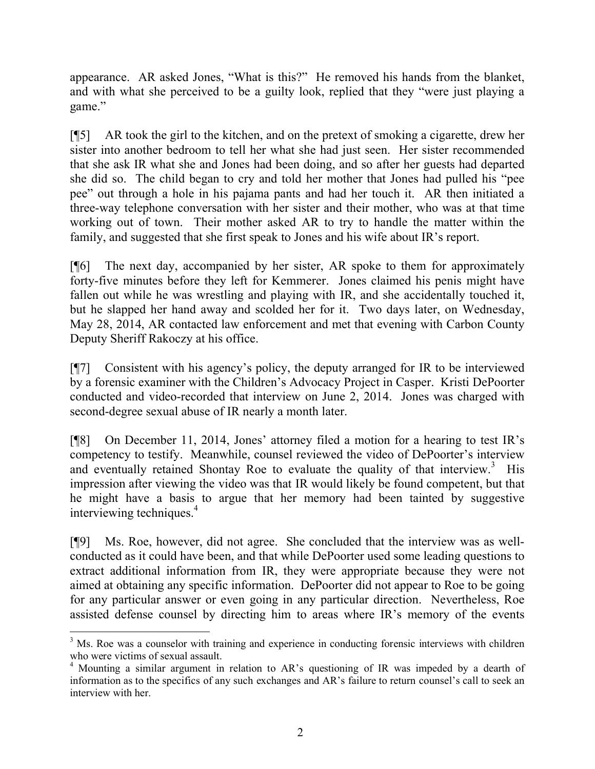appearance. AR asked Jones, "What is this?" He removed his hands from the blanket, and with what she perceived to be a guilty look, replied that they "were just playing a game."

[¶5] AR took the girl to the kitchen, and on the pretext of smoking a cigarette, drew her sister into another bedroom to tell her what she had just seen. Her sister recommended that she ask IR what she and Jones had been doing, and so after her guests had departed she did so. The child began to cry and told her mother that Jones had pulled his "pee pee" out through a hole in his pajama pants and had her touch it. AR then initiated a three-way telephone conversation with her sister and their mother, who was at that time working out of town. Their mother asked AR to try to handle the matter within the family, and suggested that she first speak to Jones and his wife about IR's report.

[¶6] The next day, accompanied by her sister, AR spoke to them for approximately forty-five minutes before they left for Kemmerer. Jones claimed his penis might have fallen out while he was wrestling and playing with IR, and she accidentally touched it, but he slapped her hand away and scolded her for it. Two days later, on Wednesday, May 28, 2014, AR contacted law enforcement and met that evening with Carbon County Deputy Sheriff Rakoczy at his office.

[¶7] Consistent with his agency's policy, the deputy arranged for IR to be interviewed by a forensic examiner with the Children's Advocacy Project in Casper. Kristi DePoorter conducted and video-recorded that interview on June 2, 2014. Jones was charged with second-degree sexual abuse of IR nearly a month later.

[¶8] On December 11, 2014, Jones' attorney filed a motion for a hearing to test IR's competency to testify. Meanwhile, counsel reviewed the video of DePoorter's interview and eventually retained Shontay Roe to evaluate the quality of that interview.<sup>3</sup> His impression after viewing the video was that IR would likely be found competent, but that he might have a basis to argue that her memory had been tainted by suggestive interviewing techniques.<sup>4</sup>

[¶9] Ms. Roe, however, did not agree. She concluded that the interview was as wellconducted as it could have been, and that while DePoorter used some leading questions to extract additional information from IR, they were appropriate because they were not aimed at obtaining any specific information. DePoorter did not appear to Roe to be going for any particular answer or even going in any particular direction. Nevertheless, Roe assisted defense counsel by directing him to areas where IR's memory of the events

<sup>&</sup>lt;sup>3</sup> Ms. Roe was a counselor with training and experience in conducting forensic interviews with children who were victims of sexual assault.

<sup>&</sup>lt;sup>4</sup> Mounting a similar argument in relation to AR's questioning of IR was impeded by a dearth of information as to the specifics of any such exchanges and AR's failure to return counsel's call to seek an interview with her.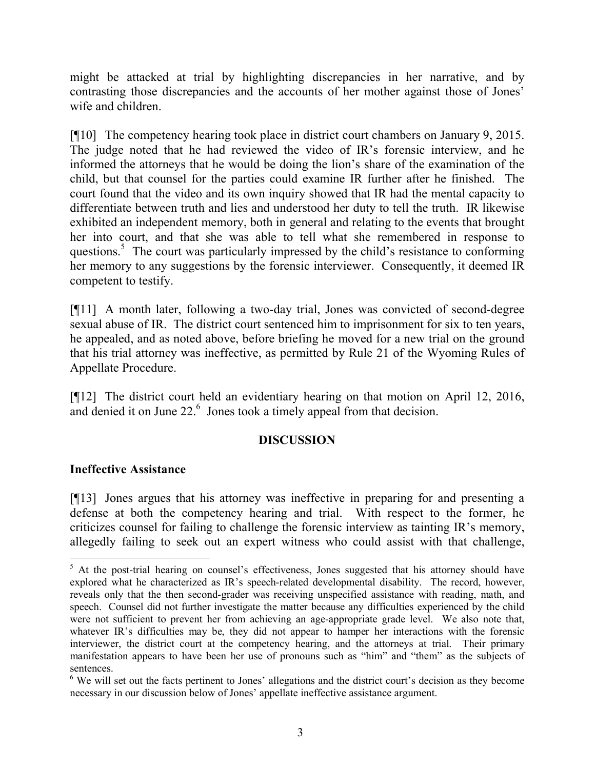might be attacked at trial by highlighting discrepancies in her narrative, and by contrasting those discrepancies and the accounts of her mother against those of Jones' wife and children.

[¶10] The competency hearing took place in district court chambers on January 9, 2015. The judge noted that he had reviewed the video of IR's forensic interview, and he informed the attorneys that he would be doing the lion's share of the examination of the child, but that counsel for the parties could examine IR further after he finished. The court found that the video and its own inquiry showed that IR had the mental capacity to differentiate between truth and lies and understood her duty to tell the truth. IR likewise exhibited an independent memory, both in general and relating to the events that brought her into court, and that she was able to tell what she remembered in response to questions.<sup>5</sup> The court was particularly impressed by the child's resistance to conforming her memory to any suggestions by the forensic interviewer. Consequently, it deemed IR competent to testify.

[¶11] A month later, following a two-day trial, Jones was convicted of second-degree sexual abuse of IR. The district court sentenced him to imprisonment for six to ten years, he appealed, and as noted above, before briefing he moved for a new trial on the ground that his trial attorney was ineffective, as permitted by Rule 21 of the Wyoming Rules of Appellate Procedure.

[¶12] The district court held an evidentiary hearing on that motion on April 12, 2016, and denied it on June 22.<sup>6</sup> Jones took a timely appeal from that decision.

## **DISCUSSION**

#### **Ineffective Assistance**

[¶13] Jones argues that his attorney was ineffective in preparing for and presenting a defense at both the competency hearing and trial. With respect to the former, he criticizes counsel for failing to challenge the forensic interview as tainting IR's memory, allegedly failing to seek out an expert witness who could assist with that challenge,

 $5$  At the post-trial hearing on counsel's effectiveness, Jones suggested that his attorney should have explored what he characterized as IR's speech-related developmental disability. The record, however, reveals only that the then second-grader was receiving unspecified assistance with reading, math, and speech. Counsel did not further investigate the matter because any difficulties experienced by the child were not sufficient to prevent her from achieving an age-appropriate grade level. We also note that, whatever IR's difficulties may be, they did not appear to hamper her interactions with the forensic interviewer, the district court at the competency hearing, and the attorneys at trial. Their primary manifestation appears to have been her use of pronouns such as "him" and "them" as the subjects of sentences.

<sup>&</sup>lt;sup>6</sup> We will set out the facts pertinent to Jones' allegations and the district court's decision as they become necessary in our discussion below of Jones' appellate ineffective assistance argument.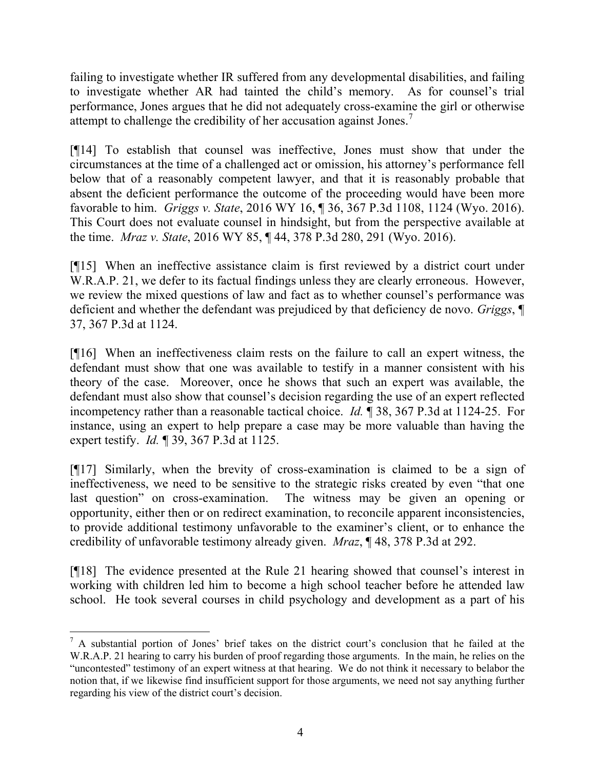failing to investigate whether IR suffered from any developmental disabilities, and failing to investigate whether AR had tainted the child's memory. As for counsel's trial performance, Jones argues that he did not adequately cross-examine the girl or otherwise attempt to challenge the credibility of her accusation against Jones.<sup>7</sup>

[¶14] To establish that counsel was ineffective, Jones must show that under the circumstances at the time of a challenged act or omission, his attorney's performance fell below that of a reasonably competent lawyer, and that it is reasonably probable that absent the deficient performance the outcome of the proceeding would have been more favorable to him. *Griggs v. State*, 2016 WY 16, ¶ 36, 367 P.3d 1108, 1124 (Wyo. 2016). This Court does not evaluate counsel in hindsight, but from the perspective available at the time. *Mraz v. State*, 2016 WY 85, ¶ 44, 378 P.3d 280, 291 (Wyo. 2016).

[¶15] When an ineffective assistance claim is first reviewed by a district court under W.R.A.P. 21, we defer to its factual findings unless they are clearly erroneous. However, we review the mixed questions of law and fact as to whether counsel's performance was deficient and whether the defendant was prejudiced by that deficiency de novo. *Griggs*, ¶ 37, 367 P.3d at 1124.

[¶16] When an ineffectiveness claim rests on the failure to call an expert witness, the defendant must show that one was available to testify in a manner consistent with his theory of the case. Moreover, once he shows that such an expert was available, the defendant must also show that counsel's decision regarding the use of an expert reflected incompetency rather than a reasonable tactical choice. *Id.* ¶ 38, 367 P.3d at 1124-25. For instance, using an expert to help prepare a case may be more valuable than having the expert testify. *Id.* ¶ 39, 367 P.3d at 1125.

[¶17] Similarly, when the brevity of cross-examination is claimed to be a sign of ineffectiveness, we need to be sensitive to the strategic risks created by even "that one last question" on cross-examination. The witness may be given an opening or opportunity, either then or on redirect examination, to reconcile apparent inconsistencies, to provide additional testimony unfavorable to the examiner's client, or to enhance the credibility of unfavorable testimony already given. *Mraz*, ¶ 48, 378 P.3d at 292.

[¶18] The evidence presented at the Rule 21 hearing showed that counsel's interest in working with children led him to become a high school teacher before he attended law school. He took several courses in child psychology and development as a part of his

 $<sup>7</sup>$  A substantial portion of Jones' brief takes on the district court's conclusion that he failed at the</sup> W.R.A.P. 21 hearing to carry his burden of proof regarding those arguments. In the main, he relies on the "uncontested" testimony of an expert witness at that hearing. We do not think it necessary to belabor the notion that, if we likewise find insufficient support for those arguments, we need not say anything further regarding his view of the district court's decision.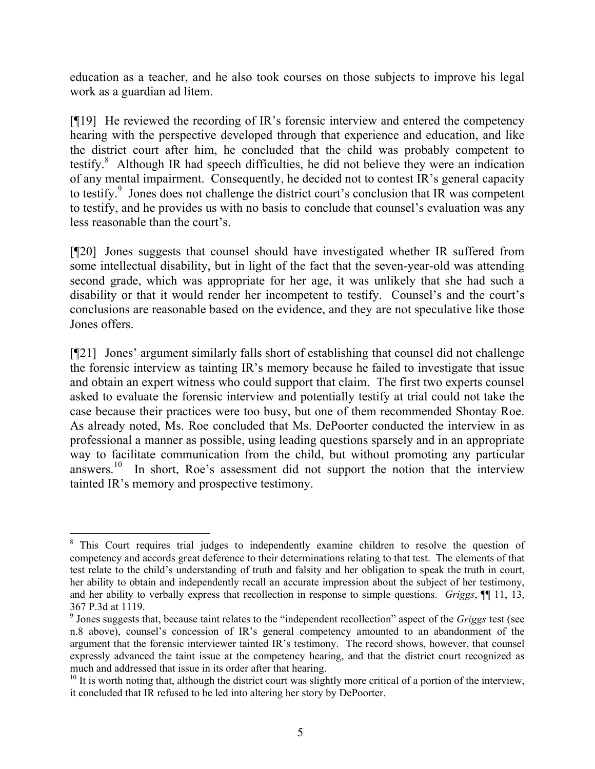education as a teacher, and he also took courses on those subjects to improve his legal work as a guardian ad litem.

[¶19] He reviewed the recording of IR's forensic interview and entered the competency hearing with the perspective developed through that experience and education, and like the district court after him, he concluded that the child was probably competent to testify.<sup>8</sup> Although IR had speech difficulties, he did not believe they were an indication of any mental impairment. Consequently, he decided not to contest IR's general capacity to testify.<sup>9</sup> Jones does not challenge the district court's conclusion that IR was competent to testify, and he provides us with no basis to conclude that counsel's evaluation was any less reasonable than the court's.

[¶20] Jones suggests that counsel should have investigated whether IR suffered from some intellectual disability, but in light of the fact that the seven-year-old was attending second grade, which was appropriate for her age, it was unlikely that she had such a disability or that it would render her incompetent to testify. Counsel's and the court's conclusions are reasonable based on the evidence, and they are not speculative like those Jones offers.

[¶21] Jones' argument similarly falls short of establishing that counsel did not challenge the forensic interview as tainting IR's memory because he failed to investigate that issue and obtain an expert witness who could support that claim. The first two experts counsel asked to evaluate the forensic interview and potentially testify at trial could not take the case because their practices were too busy, but one of them recommended Shontay Roe. As already noted, Ms. Roe concluded that Ms. DePoorter conducted the interview in as professional a manner as possible, using leading questions sparsely and in an appropriate way to facilitate communication from the child, but without promoting any particular answers.<sup>10</sup> In short, Roe's assessment did not support the notion that the interview tainted IR's memory and prospective testimony.

<sup>&</sup>lt;sup>8</sup> This Court requires trial judges to independently examine children to resolve the question of competency and accords great deference to their determinations relating to that test. The elements of that test relate to the child's understanding of truth and falsity and her obligation to speak the truth in court, her ability to obtain and independently recall an accurate impression about the subject of her testimony, and her ability to verbally express that recollection in response to simple questions. *Griggs*, ¶¶ 11, 13, 367 P.3d at 1119.

<sup>9</sup> Jones suggests that, because taint relates to the "independent recollection" aspect of the *Griggs* test (see n.8 above), counsel's concession of IR's general competency amounted to an abandonment of the argument that the forensic interviewer tainted IR's testimony. The record shows, however, that counsel expressly advanced the taint issue at the competency hearing, and that the district court recognized as much and addressed that issue in its order after that hearing.

 $10$  It is worth noting that, although the district court was slightly more critical of a portion of the interview, it concluded that IR refused to be led into altering her story by DePoorter.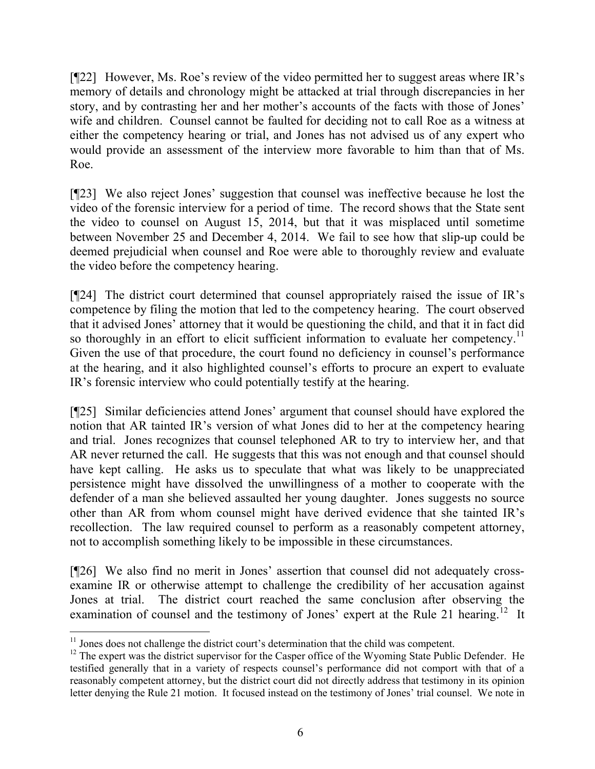[¶22] However, Ms. Roe's review of the video permitted her to suggest areas where IR's memory of details and chronology might be attacked at trial through discrepancies in her story, and by contrasting her and her mother's accounts of the facts with those of Jones' wife and children. Counsel cannot be faulted for deciding not to call Roe as a witness at either the competency hearing or trial, and Jones has not advised us of any expert who would provide an assessment of the interview more favorable to him than that of Ms. Roe.

[¶23] We also reject Jones' suggestion that counsel was ineffective because he lost the video of the forensic interview for a period of time. The record shows that the State sent the video to counsel on August 15, 2014, but that it was misplaced until sometime between November 25 and December 4, 2014. We fail to see how that slip-up could be deemed prejudicial when counsel and Roe were able to thoroughly review and evaluate the video before the competency hearing.

[¶24] The district court determined that counsel appropriately raised the issue of IR's competence by filing the motion that led to the competency hearing. The court observed that it advised Jones' attorney that it would be questioning the child, and that it in fact did so thoroughly in an effort to elicit sufficient information to evaluate her competency.<sup>11</sup> Given the use of that procedure, the court found no deficiency in counsel's performance at the hearing, and it also highlighted counsel's efforts to procure an expert to evaluate IR's forensic interview who could potentially testify at the hearing.

[¶25] Similar deficiencies attend Jones' argument that counsel should have explored the notion that AR tainted IR's version of what Jones did to her at the competency hearing and trial. Jones recognizes that counsel telephoned AR to try to interview her, and that AR never returned the call. He suggests that this was not enough and that counsel should have kept calling. He asks us to speculate that what was likely to be unappreciated persistence might have dissolved the unwillingness of a mother to cooperate with the defender of a man she believed assaulted her young daughter. Jones suggests no source other than AR from whom counsel might have derived evidence that she tainted IR's recollection. The law required counsel to perform as a reasonably competent attorney, not to accomplish something likely to be impossible in these circumstances.

[¶26] We also find no merit in Jones' assertion that counsel did not adequately crossexamine IR or otherwise attempt to challenge the credibility of her accusation against Jones at trial. The district court reached the same conclusion after observing the examination of counsel and the testimony of Jones' expert at the Rule 21 hearing.<sup>12</sup> It

 $11$  Jones does not challenge the district court's determination that the child was competent.

<sup>&</sup>lt;sup>12</sup> The expert was the district supervisor for the Casper office of the Wyoming State Public Defender. He testified generally that in a variety of respects counsel's performance did not comport with that of a reasonably competent attorney, but the district court did not directly address that testimony in its opinion letter denying the Rule 21 motion. It focused instead on the testimony of Jones' trial counsel. We note in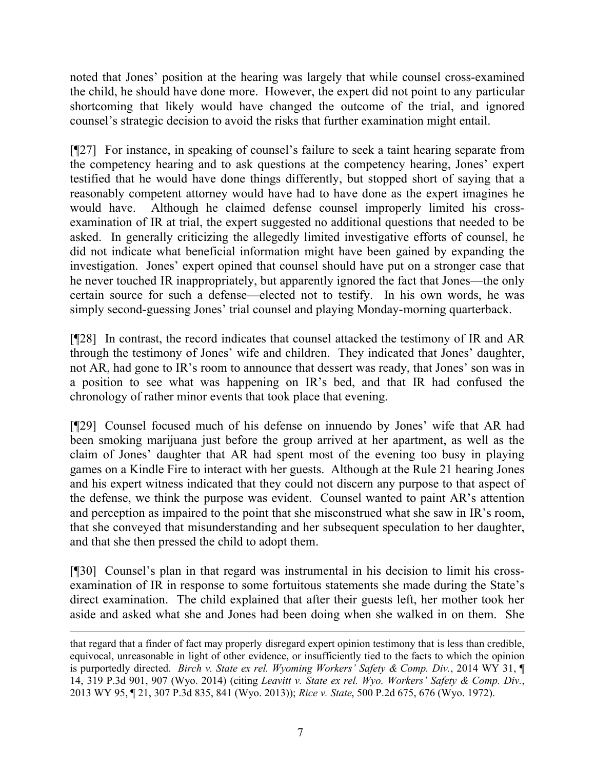noted that Jones' position at the hearing was largely that while counsel cross-examined the child, he should have done more. However, the expert did not point to any particular shortcoming that likely would have changed the outcome of the trial, and ignored counsel's strategic decision to avoid the risks that further examination might entail.

[¶27] For instance, in speaking of counsel's failure to seek a taint hearing separate from the competency hearing and to ask questions at the competency hearing, Jones' expert testified that he would have done things differently, but stopped short of saying that a reasonably competent attorney would have had to have done as the expert imagines he would have. Although he claimed defense counsel improperly limited his crossexamination of IR at trial, the expert suggested no additional questions that needed to be asked. In generally criticizing the allegedly limited investigative efforts of counsel, he did not indicate what beneficial information might have been gained by expanding the investigation. Jones' expert opined that counsel should have put on a stronger case that he never touched IR inappropriately, but apparently ignored the fact that Jones—the only certain source for such a defense—elected not to testify. In his own words, he was simply second-guessing Jones' trial counsel and playing Monday-morning quarterback.

[¶28] In contrast, the record indicates that counsel attacked the testimony of IR and AR through the testimony of Jones' wife and children. They indicated that Jones' daughter, not AR, had gone to IR's room to announce that dessert was ready, that Jones' son was in a position to see what was happening on IR's bed, and that IR had confused the chronology of rather minor events that took place that evening.

[¶29] Counsel focused much of his defense on innuendo by Jones' wife that AR had been smoking marijuana just before the group arrived at her apartment, as well as the claim of Jones' daughter that AR had spent most of the evening too busy in playing games on a Kindle Fire to interact with her guests. Although at the Rule 21 hearing Jones and his expert witness indicated that they could not discern any purpose to that aspect of the defense, we think the purpose was evident. Counsel wanted to paint AR's attention and perception as impaired to the point that she misconstrued what she saw in IR's room, that she conveyed that misunderstanding and her subsequent speculation to her daughter, and that she then pressed the child to adopt them.

[¶30] Counsel's plan in that regard was instrumental in his decision to limit his crossexamination of IR in response to some fortuitous statements she made during the State's direct examination. The child explained that after their guests left, her mother took her aside and asked what she and Jones had been doing when she walked in on them. She

that regard that a finder of fact may properly disregard expert opinion testimony that is less than credible, equivocal, unreasonable in light of other evidence, or insufficiently tied to the facts to which the opinion is purportedly directed. *Birch v. State ex rel. Wyoming Workers' Safety & Comp. Div.*, 2014 WY 31, ¶ 14, 319 P.3d 901, 907 (Wyo. 2014) (citing *Leavitt v. State ex rel. Wyo. Workers' Safety & Comp. Div.*, 2013 WY 95, ¶ 21, 307 P.3d 835, 841 (Wyo. 2013)); *Rice v. State*, 500 P.2d 675, 676 (Wyo. 1972).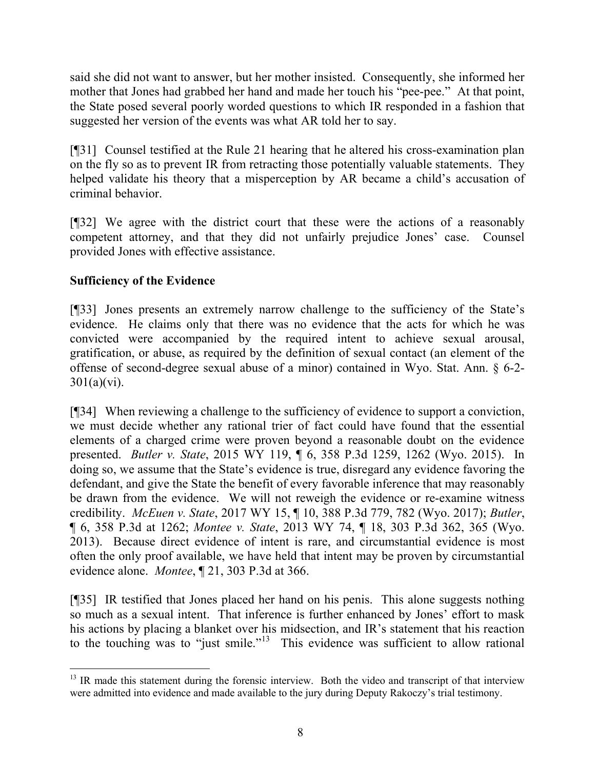said she did not want to answer, but her mother insisted. Consequently, she informed her mother that Jones had grabbed her hand and made her touch his "pee-pee." At that point, the State posed several poorly worded questions to which IR responded in a fashion that suggested her version of the events was what AR told her to say.

[¶31] Counsel testified at the Rule 21 hearing that he altered his cross-examination plan on the fly so as to prevent IR from retracting those potentially valuable statements. They helped validate his theory that a misperception by AR became a child's accusation of criminal behavior.

[¶32] We agree with the district court that these were the actions of a reasonably competent attorney, and that they did not unfairly prejudice Jones' case. Counsel provided Jones with effective assistance.

## **Sufficiency of the Evidence**

[¶33] Jones presents an extremely narrow challenge to the sufficiency of the State's evidence. He claims only that there was no evidence that the acts for which he was convicted were accompanied by the required intent to achieve sexual arousal, gratification, or abuse, as required by the definition of sexual contact (an element of the offense of second-degree sexual abuse of a minor) contained in Wyo. Stat. Ann. § 6-2-  $301(a)(vi)$ .

[¶34] When reviewing a challenge to the sufficiency of evidence to support a conviction, we must decide whether any rational trier of fact could have found that the essential elements of a charged crime were proven beyond a reasonable doubt on the evidence presented. *Butler v. State*, 2015 WY 119, ¶ 6, 358 P.3d 1259, 1262 (Wyo. 2015). In doing so, we assume that the State's evidence is true, disregard any evidence favoring the defendant, and give the State the benefit of every favorable inference that may reasonably be drawn from the evidence. We will not reweigh the evidence or re-examine witness credibility. *McEuen v. State*, 2017 WY 15, ¶ 10, 388 P.3d 779, 782 (Wyo. 2017); *Butler*, ¶ 6, 358 P.3d at 1262; *Montee v. State*, 2013 WY 74, ¶ 18, 303 P.3d 362, 365 (Wyo. 2013). Because direct evidence of intent is rare, and circumstantial evidence is most often the only proof available, we have held that intent may be proven by circumstantial evidence alone. *Montee*, ¶ 21, 303 P.3d at 366.

[¶35] IR testified that Jones placed her hand on his penis. This alone suggests nothing so much as a sexual intent. That inference is further enhanced by Jones' effort to mask his actions by placing a blanket over his midsection, and IR's statement that his reaction to the touching was to "just smile."<sup>13</sup> This evidence was sufficient to allow rational

 $<sup>13</sup>$  IR made this statement during the forensic interview. Both the video and transcript of that interview</sup> were admitted into evidence and made available to the jury during Deputy Rakoczy's trial testimony.